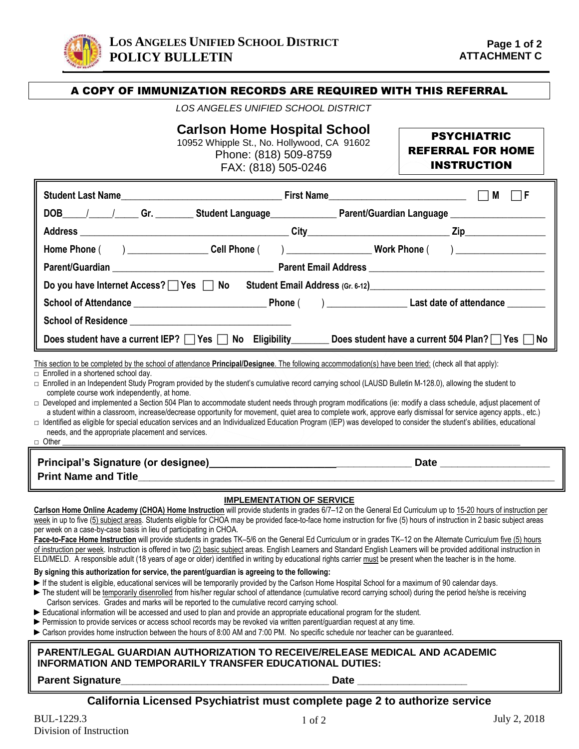

### A COPY OF IMMUNIZATION RECORDS ARE REQUIRED WITH THIS REFERRAL

*LOS ANGELES UNIFIED SCHOOL DISTRICT*

## **Carlson Home Hospital School**

10952 Whipple St., No. Hollywood, CA 91602 Phone: (818) 509-8759 FAX: (818) 505-0246

# PSYCHIATRIC REFERRAL FOR HOME

|  | <b>INSTRUCTION</b> |  |  |
|--|--------------------|--|--|
|  |                    |  |  |

|                                                                                                                                                                                                                                                                                                                                                                                | First Name________________________________                                         | M    |  |  |  |  |  |  |
|--------------------------------------------------------------------------------------------------------------------------------------------------------------------------------------------------------------------------------------------------------------------------------------------------------------------------------------------------------------------------------|------------------------------------------------------------------------------------|------|--|--|--|--|--|--|
| DOB_____/______/______Gr. __________Student Language__________________Parent/Guardian Language _______________                                                                                                                                                                                                                                                                 |                                                                                    |      |  |  |  |  |  |  |
|                                                                                                                                                                                                                                                                                                                                                                                |                                                                                    |      |  |  |  |  |  |  |
| Home Phone (  ) ___________________Cell Phone (  ) ____________________Work Phone (  ) __________________                                                                                                                                                                                                                                                                      |                                                                                    |      |  |  |  |  |  |  |
|                                                                                                                                                                                                                                                                                                                                                                                |                                                                                    |      |  |  |  |  |  |  |
|                                                                                                                                                                                                                                                                                                                                                                                | Do you have Internet Access? $\Box$ Yes $\Box$ No Student Email Address (Gr. 6-12) |      |  |  |  |  |  |  |
|                                                                                                                                                                                                                                                                                                                                                                                |                                                                                    |      |  |  |  |  |  |  |
|                                                                                                                                                                                                                                                                                                                                                                                |                                                                                    |      |  |  |  |  |  |  |
| Does student have a current IEP? $\Box$ Yes $\Box$ No Eligibility Does student have a current 504 Plan? Yes $\Box$ No                                                                                                                                                                                                                                                          |                                                                                    |      |  |  |  |  |  |  |
| This section to be completed by the school of attendance Principal/Designee. The following accommodation(s) have been tried: (check all that apply):                                                                                                                                                                                                                           |                                                                                    |      |  |  |  |  |  |  |
| $\Box$ Enrolled in a shortened school day.<br>□ Enrolled in an Independent Study Program provided by the student's cumulative record carrying school (LAUSD Bulletin M-128.0), allowing the student to                                                                                                                                                                         |                                                                                    |      |  |  |  |  |  |  |
| complete course work independently, at home.<br>□ Developed and implemented a Section 504 Plan to accommodate student needs through program modifications (ie: modify a class schedule, adjust placement of<br>a student within a classroom, increase/decrease opportunity for movement, quiet area to complete work, approve early dismissal for service agency appts., etc.) |                                                                                    |      |  |  |  |  |  |  |
| □ Identified as eligible for special education services and an Individualized Education Program (IEP) was developed to consider the student's abilities, educational<br>needs, and the appropriate placement and services.<br>□ Other                                                                                                                                          |                                                                                    |      |  |  |  |  |  |  |
|                                                                                                                                                                                                                                                                                                                                                                                |                                                                                    | Date |  |  |  |  |  |  |

**Print Name and Title** 

### **IMPLEMENTATION OF SERVICE**

**Carlson Home Online Academy (CHOA) Home Instruction** will provide students in grades 6/7–12 on the General Ed Curriculum up to 15-20 hours of instruction per week in up to five (5) subject areas. Students eligible for CHOA may be provided face-to-face home instruction for five (5) hours of instruction in 2 basic subject areas per week on a case-by-case basis in lieu of participating in CHOA.

**Face-to-Face Home Instruction** will provide students in grades TK–5/6 on the General Ed Curriculum or in grades TK–12 on the Alternate Curriculum five (5) hours of instruction per week. Instruction is offered in two (2) basic subject areas. English Learners and Standard English Learners will be provided additional instruction in ELD/MELD. A responsible adult (18 years of age or older) identified in writing by educational rights carrier must be present when the teacher is in the home.

#### **By signing this authorization for service, the parent/guardian is agreeing to the following:**

- ► If the student is eligible, educational services will be temporarily provided by the Carlson Home Hospital School for a maximum of 90 calendar days.
- ► The student will be temporarily disenrolled from his/her regular school of attendance (cumulative record carrying school) during the period he/she is receiving Carlson services. Grades and marks will be reported to the cumulative record carrying school.
- ► Educational information will be accessed and used to plan and provide an appropriate educational program for the student.
- ► Permission to provide services or access school records may be revoked via written parent/quardian request at any time.
- ► Carlson provides home instruction between the hours of 8:00 AM and 7:00 PM. No specific schedule nor teacher can be guaranteed.

#### **PARENT/LEGAL GUARDIAN AUTHORIZATION TO RECEIVE/RELEASE MEDICAL AND ACADEMIC INFORMATION AND TEMPORARILY TRANSFER EDUCATIONAL DUTIES:**

**Parent Signature\_\_\_\_\_\_\_\_\_\_\_\_\_\_\_\_\_\_\_\_\_\_\_\_\_\_\_\_\_\_\_\_\_\_\_\_ Date \_\_\_\_\_\_\_\_\_\_\_\_\_\_\_\_\_\_\_**

### **California Licensed Psychiatrist must complete page 2 to authorize service**